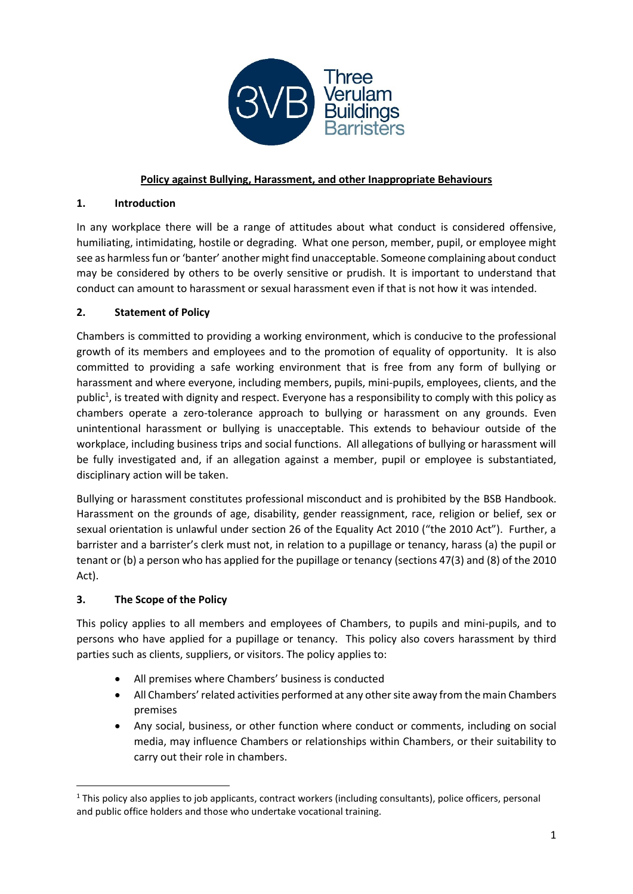

## **Policy against Bullying, Harassment, and other Inappropriate Behaviours**

### **1. Introduction**

In any workplace there will be a range of attitudes about what conduct is considered offensive, humiliating, intimidating, hostile or degrading. What one person, member, pupil, or employee might see as harmless fun or 'banter' another might find unacceptable. Someone complaining about conduct may be considered by others to be overly sensitive or prudish. It is important to understand that conduct can amount to harassment or sexual harassment even if that is not how it was intended.

## **2. Statement of Policy**

Chambers is committed to providing a working environment, which is conducive to the professional growth of its members and employees and to the promotion of equality of opportunity. It is also committed to providing a safe working environment that is free from any form of bullying or harassment and where everyone, including members, pupils, mini-pupils, employees, clients, and the public<sup>1</sup>, is treated with dignity and respect. Everyone has a responsibility to comply with this policy as chambers operate a zero-tolerance approach to bullying or harassment on any grounds. Even unintentional harassment or bullying is unacceptable. This extends to behaviour outside of the workplace, including business trips and social functions. All allegations of bullying or harassment will be fully investigated and, if an allegation against a member, pupil or employee is substantiated, disciplinary action will be taken.

Bullying or harassment constitutes professional misconduct and is prohibited by the BSB Handbook. Harassment on the grounds of age, disability, gender reassignment, race, religion or belief, sex or sexual orientation is unlawful under section 26 of the Equality Act 2010 ("the 2010 Act"). Further, a barrister and a barrister's clerk must not, in relation to a pupillage or tenancy, harass (a) the pupil or tenant or (b) a person who has applied for the pupillage or tenancy (sections 47(3) and (8) of the 2010 Act).

### **3. The Scope of the Policy**

This policy applies to all members and employees of Chambers, to pupils and mini-pupils, and to persons who have applied for a pupillage or tenancy. This policy also covers harassment by third parties such as clients, suppliers, or visitors. The policy applies to:

- All premises where Chambers' business is conducted
- All Chambers' related activities performed at any other site away from the main Chambers premises
- Any social, business, or other function where conduct or comments, including on social media, may influence Chambers or relationships within Chambers, or their suitability to carry out their role in chambers.

 $1$  This policy also applies to job applicants, contract workers (including consultants), police officers, personal and public office holders and those who undertake vocational training.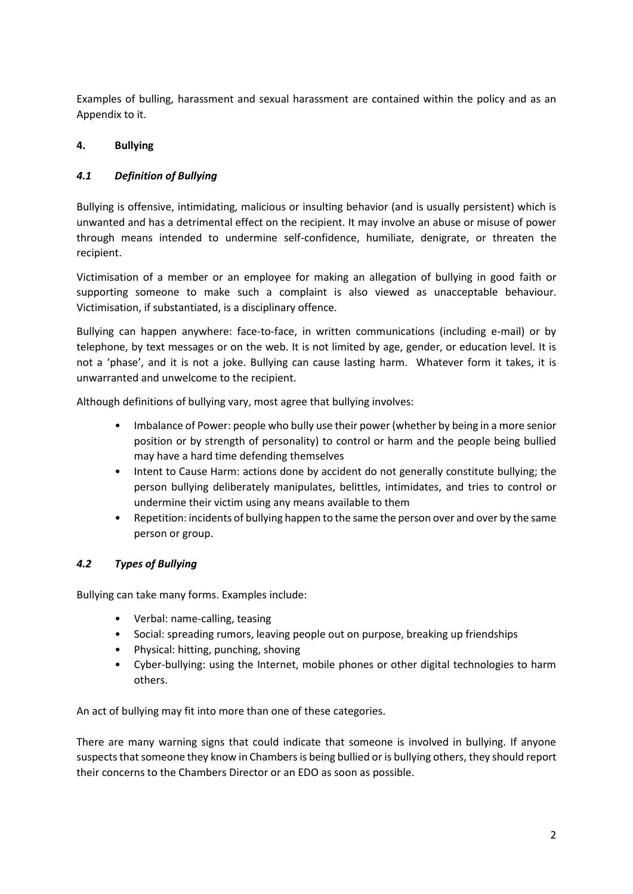Examples of bulling, harassment and sexual harassment are contained within the policy and as an Appendix to it.

## **4. Bullying**

## *4.1 Definition of Bullying*

Bullying is offensive, intimidating, malicious or insulting behavior (and is usually persistent) which is unwanted and has a detrimental effect on the recipient. It may involve an abuse or misuse of power through means intended to undermine self-confidence, humiliate, denigrate, or threaten the recipient.

Victimisation of a member or an employee for making an allegation of bullying in good faith or supporting someone to make such a complaint is also viewed as unacceptable behaviour. Victimisation, if substantiated, is a disciplinary offence.

Bullying can happen anywhere: face-to-face, in written communications (including e-mail) or by telephone, by text messages or on the web. It is not limited by age, gender, or education level. It is not a 'phase', and it is not a joke. Bullying can cause lasting harm. Whatever form it takes, it is unwarranted and unwelcome to the recipient.

Although definitions of bullying vary, most agree that bullying involves:

- Imbalance of Power: people who bully use their power (whether by being in a more senior position or by strength of personality) to control or harm and the people being bullied may have a hard time defending themselves
- Intent to Cause Harm: actions done by accident do not generally constitute bullying; the person bullying deliberately manipulates, belittles, intimidates, and tries to control or undermine their victim using any means available to them
- Repetition: incidents of bullying happen to the same the person over and over by the same person or group.

## *4.2 Types of Bullying*

Bullying can take many forms. Examples include:

- Verbal: name-calling, teasing
- Social: spreading rumors, leaving people out on purpose, breaking up friendships
- Physical: hitting, punching, shoving
- Cyber-bullying: using the Internet, mobile phones or other digital technologies to harm others.

An act of bullying may fit into more than one of these categories.

There are many warning signs that could indicate that someone is involved in bullying. If anyone suspects that someone they know in Chambers is being bullied or is bullying others, they should report their concerns to the Chambers Director or an EDO as soon as possible.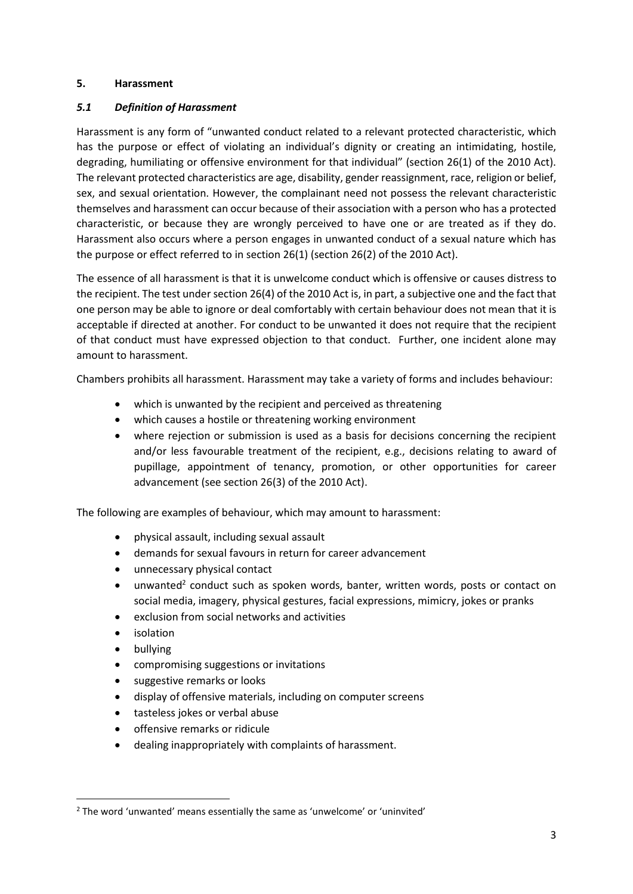#### **5. Harassment**

### *5.1 Definition of Harassment*

Harassment is any form of "unwanted conduct related to a relevant protected characteristic, which has the purpose or effect of violating an individual's dignity or creating an intimidating, hostile, degrading, humiliating or offensive environment for that individual" (section 26(1) of the 2010 Act). The relevant protected characteristics are age, disability, gender reassignment, race, religion or belief, sex, and sexual orientation. However, the complainant need not possess the relevant characteristic themselves and harassment can occur because of their association with a person who has a protected characteristic, or because they are wrongly perceived to have one or are treated as if they do. Harassment also occurs where a person engages in unwanted conduct of a sexual nature which has the purpose or effect referred to in section 26(1) (section 26(2) of the 2010 Act).

The essence of all harassment is that it is unwelcome conduct which is offensive or causes distress to the recipient. The test under section 26(4) of the 2010 Act is, in part, a subjective one and the fact that one person may be able to ignore or deal comfortably with certain behaviour does not mean that it is acceptable if directed at another. For conduct to be unwanted it does not require that the recipient of that conduct must have expressed objection to that conduct. Further, one incident alone may amount to harassment.

Chambers prohibits all harassment. Harassment may take a variety of forms and includes behaviour:

- which is unwanted by the recipient and perceived as threatening
- which causes a hostile or threatening working environment
- where rejection or submission is used as a basis for decisions concerning the recipient and/or less favourable treatment of the recipient, e.g., decisions relating to award of pupillage, appointment of tenancy, promotion, or other opportunities for career advancement (see section 26(3) of the 2010 Act).

The following are examples of behaviour, which may amount to harassment:

- physical assault, including sexual assault
- demands for sexual favours in return for career advancement
- unnecessary physical contact
- unwanted<sup>2</sup> conduct such as spoken words, banter, written words, posts or contact on social media, imagery, physical gestures, facial expressions, mimicry, jokes or pranks
- exclusion from social networks and activities
- **isolation**
- bullying
- compromising suggestions or invitations
- suggestive remarks or looks
- display of offensive materials, including on computer screens
- tasteless jokes or verbal abuse
- offensive remarks or ridicule
- dealing inappropriately with complaints of harassment.

<sup>2</sup> The word 'unwanted' means essentially the same as 'unwelcome' or 'uninvited'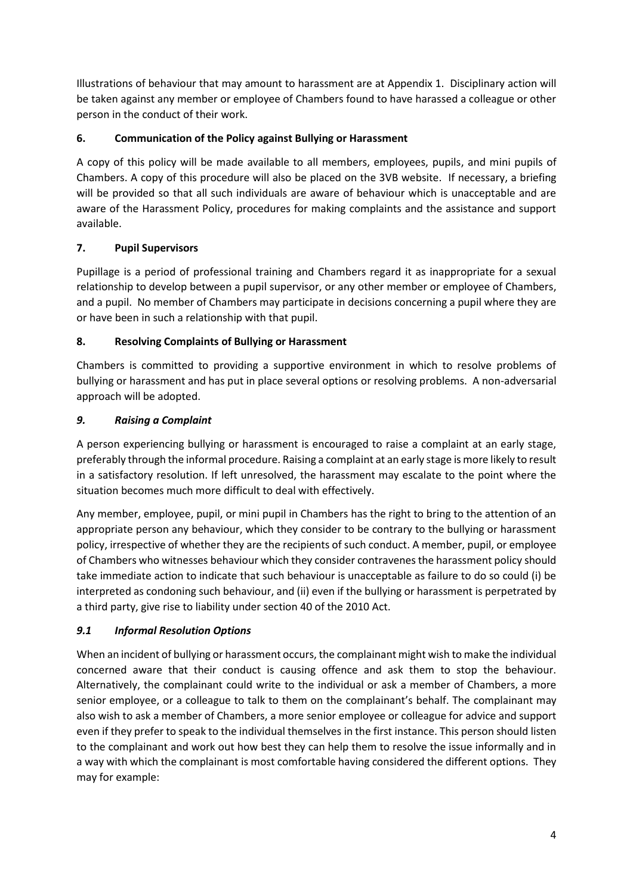Illustrations of behaviour that may amount to harassment are at Appendix 1. Disciplinary action will be taken against any member or employee of Chambers found to have harassed a colleague or other person in the conduct of their work.

# **6. Communication of the Policy against Bullying or Harassment**

A copy of this policy will be made available to all members, employees, pupils, and mini pupils of Chambers. A copy of this procedure will also be placed on the 3VB website. If necessary, a briefing will be provided so that all such individuals are aware of behaviour which is unacceptable and are aware of the Harassment Policy, procedures for making complaints and the assistance and support available.

# **7. Pupil Supervisors**

Pupillage is a period of professional training and Chambers regard it as inappropriate for a sexual relationship to develop between a pupil supervisor, or any other member or employee of Chambers, and a pupil. No member of Chambers may participate in decisions concerning a pupil where they are or have been in such a relationship with that pupil.

# **8. Resolving Complaints of Bullying or Harassment**

Chambers is committed to providing a supportive environment in which to resolve problems of bullying or harassment and has put in place several options or resolving problems. A non-adversarial approach will be adopted.

## *9. Raising a Complaint*

A person experiencing bullying or harassment is encouraged to raise a complaint at an early stage, preferably through the informal procedure. Raising a complaint at an early stage is more likely to result in a satisfactory resolution. If left unresolved, the harassment may escalate to the point where the situation becomes much more difficult to deal with effectively.

Any member, employee, pupil, or mini pupil in Chambers has the right to bring to the attention of an appropriate person any behaviour, which they consider to be contrary to the bullying or harassment policy, irrespective of whether they are the recipients of such conduct. A member, pupil, or employee of Chambers who witnesses behaviour which they consider contravenes the harassment policy should take immediate action to indicate that such behaviour is unacceptable as failure to do so could (i) be interpreted as condoning such behaviour, and (ii) even if the bullying or harassment is perpetrated by a third party, give rise to liability under section 40 of the 2010 Act.

# *9.1 Informal Resolution Options*

When an incident of bullying or harassment occurs, the complainant might wish to make the individual concerned aware that their conduct is causing offence and ask them to stop the behaviour. Alternatively, the complainant could write to the individual or ask a member of Chambers, a more senior employee, or a colleague to talk to them on the complainant's behalf. The complainant may also wish to ask a member of Chambers, a more senior employee or colleague for advice and support even if they prefer to speak to the individual themselves in the first instance. This person should listen to the complainant and work out how best they can help them to resolve the issue informally and in a way with which the complainant is most comfortable having considered the different options. They may for example: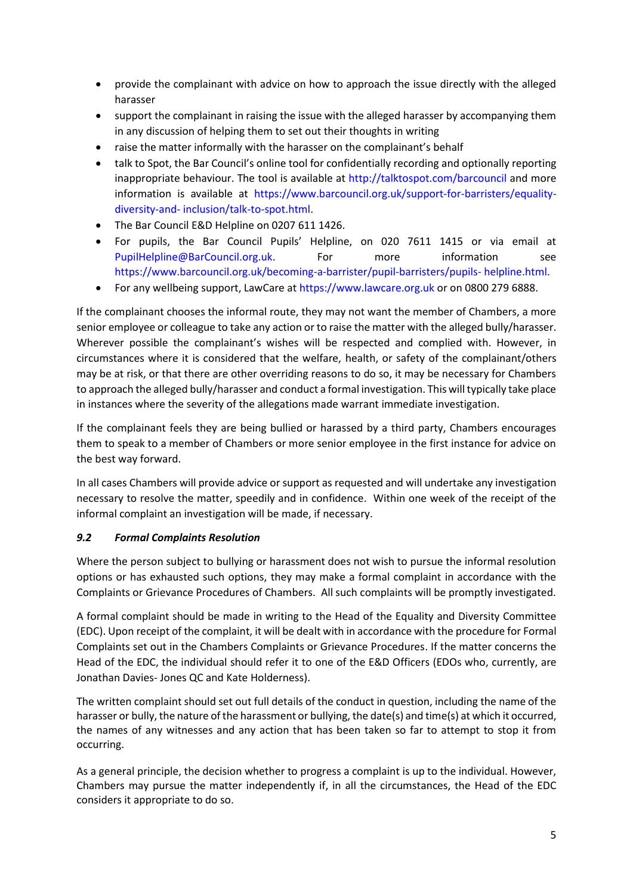- provide the complainant with advice on how to approach the issue directly with the alleged harasser
- support the complainant in raising the issue with the alleged harasser by accompanying them in any discussion of helping them to set out their thoughts in writing
- raise the matter informally with the harasser on the complainant's behalf
- talk to Spot, the Bar Council's online tool for confidentially recording and optionally reporting inappropriate behaviour. The tool is available at http://talktospot.com/barcouncil and more information is available at https://www.barcouncil.org.uk/support-for-barristers/equalitydiversity-and- inclusion/talk-to-spot.html.
- The Bar Council E&D Helpline on 0207 611 1426.
- For pupils, the Bar Council Pupils' Helpline, on 020 7611 1415 or via email at PupilHelpline@BarCouncil.org.uk. For more information see https://www.barcouncil.org.uk/becoming-a-barrister/pupil-barristers/pupils- helpline.html.
- For any wellbeing support, LawCare at https://www.lawcare.org.uk or on 0800 279 6888.

If the complainant chooses the informal route, they may not want the member of Chambers, a more senior employee or colleague to take any action or to raise the matter with the alleged bully/harasser. Wherever possible the complainant's wishes will be respected and complied with. However, in circumstances where it is considered that the welfare, health, or safety of the complainant/others may be at risk, or that there are other overriding reasons to do so, it may be necessary for Chambers to approach the alleged bully/harasser and conduct a formal investigation. This will typically take place in instances where the severity of the allegations made warrant immediate investigation.

If the complainant feels they are being bullied or harassed by a third party, Chambers encourages them to speak to a member of Chambers or more senior employee in the first instance for advice on the best way forward.

In all cases Chambers will provide advice or support as requested and will undertake any investigation necessary to resolve the matter, speedily and in confidence. Within one week of the receipt of the informal complaint an investigation will be made, if necessary.

### *9.2 Formal Complaints Resolution*

Where the person subject to bullying or harassment does not wish to pursue the informal resolution options or has exhausted such options, they may make a formal complaint in accordance with the Complaints or Grievance Procedures of Chambers. All such complaints will be promptly investigated.

A formal complaint should be made in writing to the Head of the Equality and Diversity Committee (EDC). Upon receipt of the complaint, it will be dealt with in accordance with the procedure for Formal Complaints set out in the Chambers Complaints or Grievance Procedures. If the matter concerns the Head of the EDC, the individual should refer it to one of the E&D Officers (EDOs who, currently, are Jonathan Davies- Jones QC and Kate Holderness).

The written complaint should set out full details of the conduct in question, including the name of the harasser or bully, the nature of the harassment or bullying, the date(s) and time(s) at which it occurred, the names of any witnesses and any action that has been taken so far to attempt to stop it from occurring.

As a general principle, the decision whether to progress a complaint is up to the individual. However, Chambers may pursue the matter independently if, in all the circumstances, the Head of the EDC considers it appropriate to do so.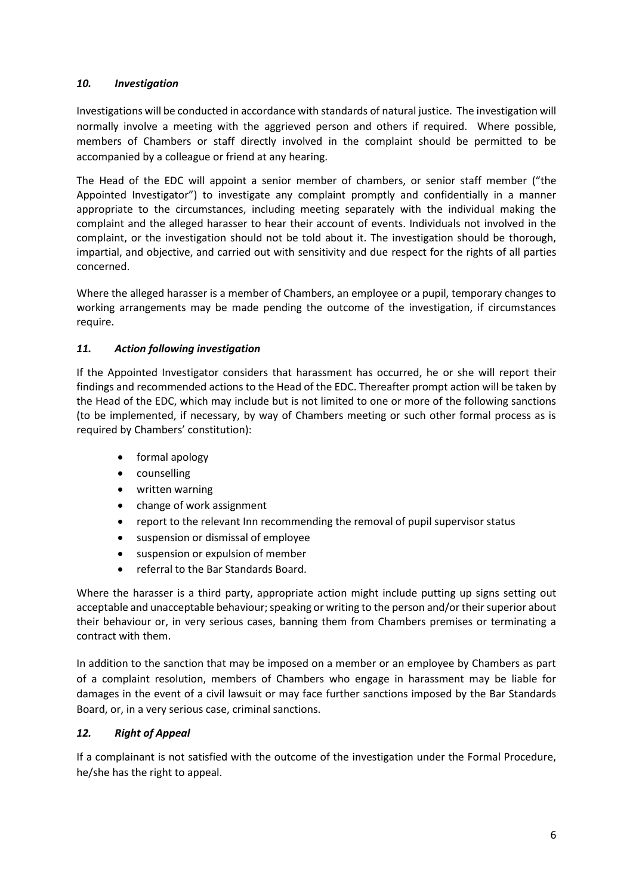### *10. Investigation*

Investigations will be conducted in accordance with standards of natural justice. The investigation will normally involve a meeting with the aggrieved person and others if required. Where possible, members of Chambers or staff directly involved in the complaint should be permitted to be accompanied by a colleague or friend at any hearing.

The Head of the EDC will appoint a senior member of chambers, or senior staff member ("the Appointed Investigator") to investigate any complaint promptly and confidentially in a manner appropriate to the circumstances, including meeting separately with the individual making the complaint and the alleged harasser to hear their account of events. Individuals not involved in the complaint, or the investigation should not be told about it. The investigation should be thorough, impartial, and objective, and carried out with sensitivity and due respect for the rights of all parties concerned.

Where the alleged harasser is a member of Chambers, an employee or a pupil, temporary changes to working arrangements may be made pending the outcome of the investigation, if circumstances require.

### *11. Action following investigation*

If the Appointed Investigator considers that harassment has occurred, he or she will report their findings and recommended actions to the Head of the EDC. Thereafter prompt action will be taken by the Head of the EDC, which may include but is not limited to one or more of the following sanctions (to be implemented, if necessary, by way of Chambers meeting or such other formal process as is required by Chambers' constitution):

- formal apology
- counselling
- written warning
- change of work assignment
- report to the relevant Inn recommending the removal of pupil supervisor status
- suspension or dismissal of employee
- suspension or expulsion of member
- referral to the Bar Standards Board.

Where the harasser is a third party, appropriate action might include putting up signs setting out acceptable and unacceptable behaviour; speaking or writing to the person and/or their superior about their behaviour or, in very serious cases, banning them from Chambers premises or terminating a contract with them.

In addition to the sanction that may be imposed on a member or an employee by Chambers as part of a complaint resolution, members of Chambers who engage in harassment may be liable for damages in the event of a civil lawsuit or may face further sanctions imposed by the Bar Standards Board, or, in a very serious case, criminal sanctions.

#### *12. Right of Appeal*

If a complainant is not satisfied with the outcome of the investigation under the Formal Procedure, he/she has the right to appeal.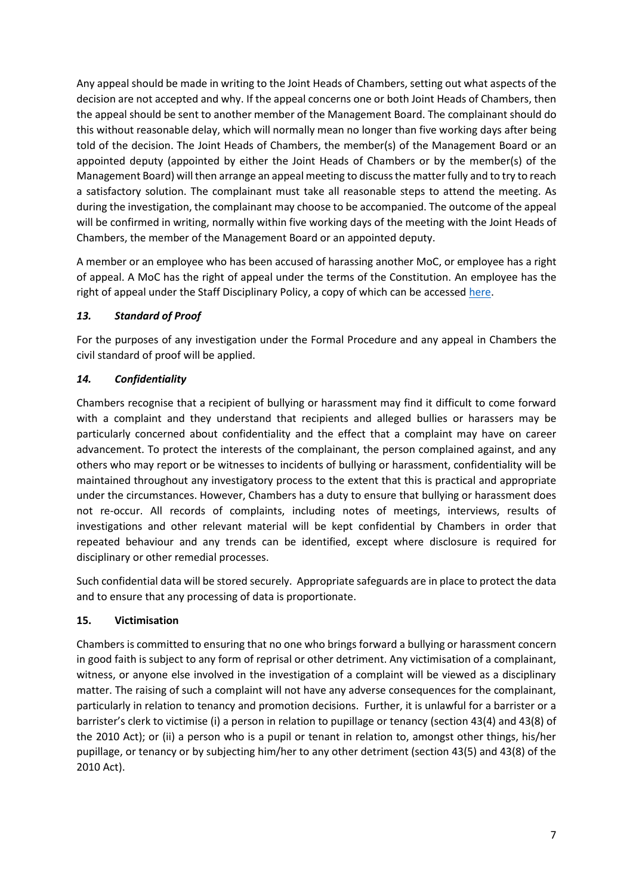Any appeal should be made in writing to the Joint Heads of Chambers, setting out what aspects of the decision are not accepted and why. If the appeal concerns one or both Joint Heads of Chambers, then the appeal should be sent to another member of the Management Board. The complainant should do this without reasonable delay, which will normally mean no longer than five working days after being told of the decision. The Joint Heads of Chambers, the member(s) of the Management Board or an appointed deputy (appointed by either the Joint Heads of Chambers or by the member(s) of the Management Board) will then arrange an appeal meeting to discuss the matter fully and to try to reach a satisfactory solution. The complainant must take all reasonable steps to attend the meeting. As during the investigation, the complainant may choose to be accompanied. The outcome of the appeal will be confirmed in writing, normally within five working days of the meeting with the Joint Heads of Chambers, the member of the Management Board or an appointed deputy.

A member or an employee who has been accused of harassing another MoC, or employee has a right of appeal. A MoC has the right of appeal under the terms of the Constitution. An employee has the right of appeal under the Staff Disciplinary Policy, a copy of which can be accessed [here.](https://3vb-my.sharepoint.com/personal/aveale_3vb_com/Documents/Management/3VB/HR/Templates/3VB_Disciplinary_Policy%20Feb%202018.doc)

## *13. Standard of Proof*

For the purposes of any investigation under the Formal Procedure and any appeal in Chambers the civil standard of proof will be applied.

## *14. Confidentiality*

Chambers recognise that a recipient of bullying or harassment may find it difficult to come forward with a complaint and they understand that recipients and alleged bullies or harassers may be particularly concerned about confidentiality and the effect that a complaint may have on career advancement. To protect the interests of the complainant, the person complained against, and any others who may report or be witnesses to incidents of bullying or harassment, confidentiality will be maintained throughout any investigatory process to the extent that this is practical and appropriate under the circumstances. However, Chambers has a duty to ensure that bullying or harassment does not re-occur. All records of complaints, including notes of meetings, interviews, results of investigations and other relevant material will be kept confidential by Chambers in order that repeated behaviour and any trends can be identified, except where disclosure is required for disciplinary or other remedial processes.

Such confidential data will be stored securely. Appropriate safeguards are in place to protect the data and to ensure that any processing of data is proportionate.

### **15. Victimisation**

Chambers is committed to ensuring that no one who brings forward a bullying or harassment concern in good faith is subject to any form of reprisal or other detriment. Any victimisation of a complainant, witness, or anyone else involved in the investigation of a complaint will be viewed as a disciplinary matter. The raising of such a complaint will not have any adverse consequences for the complainant, particularly in relation to tenancy and promotion decisions. Further, it is unlawful for a barrister or a barrister's clerk to victimise (i) a person in relation to pupillage or tenancy (section 43(4) and 43(8) of the 2010 Act); or (ii) a person who is a pupil or tenant in relation to, amongst other things, his/her pupillage, or tenancy or by subjecting him/her to any other detriment (section 43(5) and 43(8) of the 2010 Act).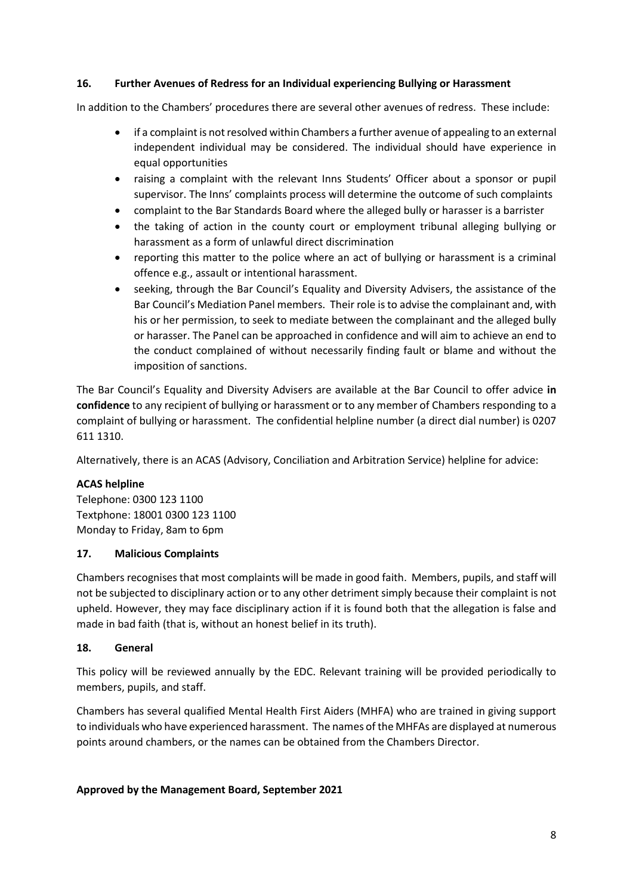#### **16. Further Avenues of Redress for an Individual experiencing Bullying or Harassment**

In addition to the Chambers' procedures there are several other avenues of redress. These include:

- if a complaint is not resolved within Chambers a further avenue of appealing to an external independent individual may be considered. The individual should have experience in equal opportunities
- raising a complaint with the relevant Inns Students' Officer about a sponsor or pupil supervisor. The Inns' complaints process will determine the outcome of such complaints
- complaint to the Bar Standards Board where the alleged bully or harasser is a barrister
- the taking of action in the county court or employment tribunal alleging bullying or harassment as a form of unlawful direct discrimination
- reporting this matter to the police where an act of bullying or harassment is a criminal offence e.g., assault or intentional harassment.
- seeking, through the Bar Council's Equality and Diversity Advisers, the assistance of the Bar Council's Mediation Panel members. Their role is to advise the complainant and, with his or her permission, to seek to mediate between the complainant and the alleged bully or harasser. The Panel can be approached in confidence and will aim to achieve an end to the conduct complained of without necessarily finding fault or blame and without the imposition of sanctions.

The Bar Council's Equality and Diversity Advisers are available at the Bar Council to offer advice **in confidence** to any recipient of bullying or harassment or to any member of Chambers responding to a complaint of bullying or harassment. The confidential helpline number (a direct dial number) is 0207 611 1310.

Alternatively, there is an ACAS (Advisory, Conciliation and Arbitration Service) helpline for advice:

### **ACAS helpline**

Telephone: 0300 123 1100 Textphone: 18001 0300 123 1100 Monday to Friday, 8am to 6pm

#### **17. Malicious Complaints**

Chambers recognises that most complaints will be made in good faith. Members, pupils, and staff will not be subjected to disciplinary action or to any other detriment simply because their complaint is not upheld. However, they may face disciplinary action if it is found both that the allegation is false and made in bad faith (that is, without an honest belief in its truth).

#### **18. General**

This policy will be reviewed annually by the EDC. Relevant training will be provided periodically to members, pupils, and staff.

Chambers has several qualified Mental Health First Aiders (MHFA) who are trained in giving support to individuals who have experienced harassment. The names of the MHFAs are displayed at numerous points around chambers, or the names can be obtained from the Chambers Director.

#### **Approved by the Management Board, September 2021**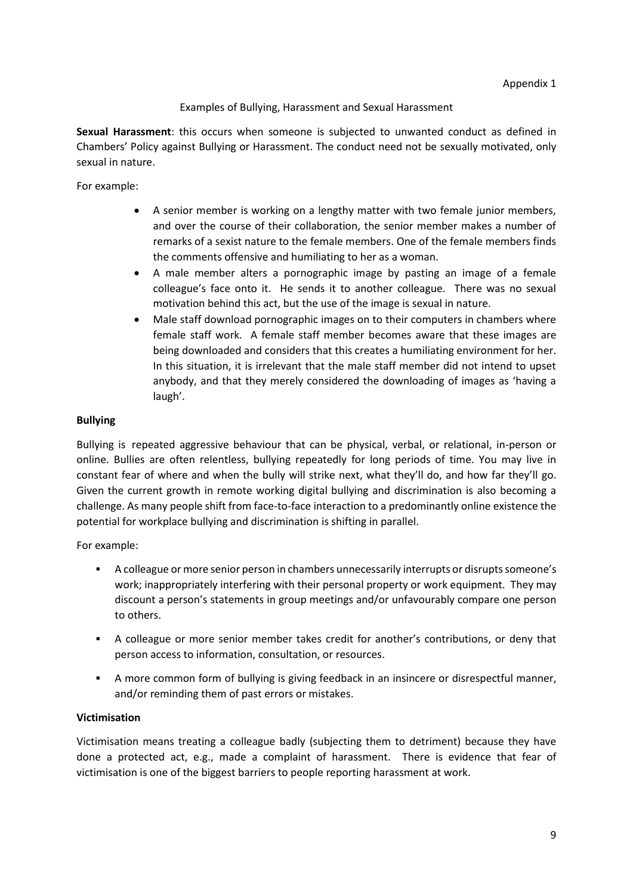### Examples of Bullying, Harassment and Sexual Harassment

**Sexual Harassment**: this occurs when someone is subjected to unwanted conduct as defined in Chambers' Policy against Bullying or Harassment. The conduct need not be sexually motivated, only sexual in nature.

For example:

- A senior member is working on a lengthy matter with two female junior members, and over the course of their collaboration, the senior member makes a number of remarks of a sexist nature to the female members. One of the female members finds the comments offensive and humiliating to her as a woman.
- A male member alters a pornographic image by pasting an image of a female colleague's face onto it. He sends it to another colleague. There was no sexual motivation behind this act, but the use of the image is sexual in nature.
- Male staff download pornographic images on to their computers in chambers where female staff work. A female staff member becomes aware that these images are being downloaded and considers that this creates a humiliating environment for her. In this situation, it is irrelevant that the male staff member did not intend to upset anybody, and that they merely considered the downloading of images as 'having a laugh'.

#### **Bullying**

Bullying is repeated aggressive behaviour that can be physical, verbal, or relational, in-person or online. Bullies are often relentless, bullying repeatedly for long periods of time. You may live in constant fear of where and when the bully will strike next, what they'll do, and how far they'll go. Given the current growth in remote working digital bullying and discrimination is also becoming a challenge. As many people shift from face-to-face interaction to a predominantly online existence the potential for workplace bullying and discrimination is shifting in parallel.

For example:

- A colleague or more senior person in chambers unnecessarily interrupts or disrupts someone's work; inappropriately interfering with their personal property or work equipment. They may discount a person's statements in group meetings and/or unfavourably compare one person to others.
- A colleague or more senior member takes credit for another's contributions, or deny that person access to information, consultation, or resources.
- A more common form of bullying is giving feedback in an insincere or disrespectful manner, and/or reminding them of past errors or mistakes.

### **Victimisation**

Victimisation means treating a colleague badly (subjecting them to detriment) because they have done a protected act, e.g., made a complaint of harassment. There is evidence that fear of victimisation is one of the biggest barriers to people reporting harassment at work.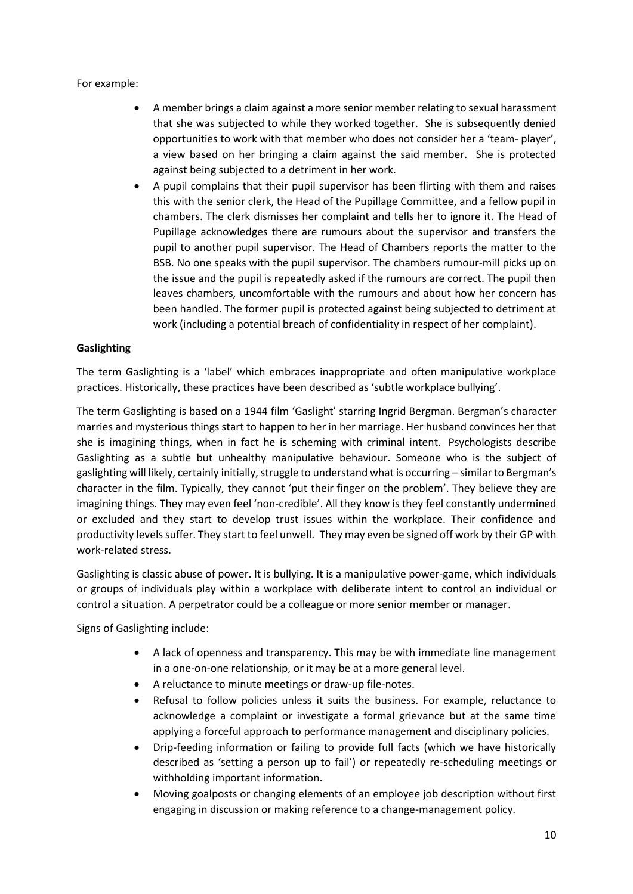For example:

- A member brings a claim against a more senior member relating to sexual harassment that she was subjected to while they worked together. She is subsequently denied opportunities to work with that member who does not consider her a 'team- player', a view based on her bringing a claim against the said member. She is protected against being subjected to a detriment in her work.
- A pupil complains that their pupil supervisor has been flirting with them and raises this with the senior clerk, the Head of the Pupillage Committee, and a fellow pupil in chambers. The clerk dismisses her complaint and tells her to ignore it. The Head of Pupillage acknowledges there are rumours about the supervisor and transfers the pupil to another pupil supervisor. The Head of Chambers reports the matter to the BSB. No one speaks with the pupil supervisor. The chambers rumour-mill picks up on the issue and the pupil is repeatedly asked if the rumours are correct. The pupil then leaves chambers, uncomfortable with the rumours and about how her concern has been handled. The former pupil is protected against being subjected to detriment at work (including a potential breach of confidentiality in respect of her complaint).

### **Gaslighting**

The term Gaslighting is a 'label' which embraces inappropriate and often manipulative workplace practices. Historically, these practices have been described as 'subtle workplace bullying'.

The term Gaslighting is based on a 1944 film 'Gaslight' starring Ingrid Bergman. Bergman's character marries and mysterious things start to happen to her in her marriage. Her husband convinces her that she is imagining things, when in fact he is scheming with criminal intent. Psychologists describe Gaslighting as a subtle but unhealthy manipulative behaviour. Someone who is the subject of gaslighting will likely, certainly initially, struggle to understand what is occurring – similar to Bergman's character in the film. Typically, they cannot 'put their finger on the problem'. They believe they are imagining things. They may even feel 'non-credible'. All they know is they feel constantly undermined or excluded and they start to develop trust issues within the workplace. Their confidence and productivity levels suffer. They start to feel unwell. They may even be signed off work by their GP with work-related stress.

Gaslighting is classic abuse of power. It is bullying. It is a manipulative power-game, which individuals or groups of individuals play within a workplace with deliberate intent to control an individual or control a situation. A perpetrator could be a colleague or more senior member or manager.

Signs of Gaslighting include:

- A lack of openness and transparency. This may be with immediate line management in a one-on-one relationship, or it may be at a more general level.
- A reluctance to minute meetings or draw-up file-notes.
- Refusal to follow policies unless it suits the business. For example, reluctance to acknowledge a complaint or investigate a formal grievance but at the same time applying a forceful approach to performance management and disciplinary policies.
- Drip-feeding information or failing to provide full facts (which we have historically described as 'setting a person up to fail') or repeatedly re-scheduling meetings or withholding important information.
- Moving goalposts or changing elements of an employee job description without first engaging in discussion or making reference to a change-management policy.